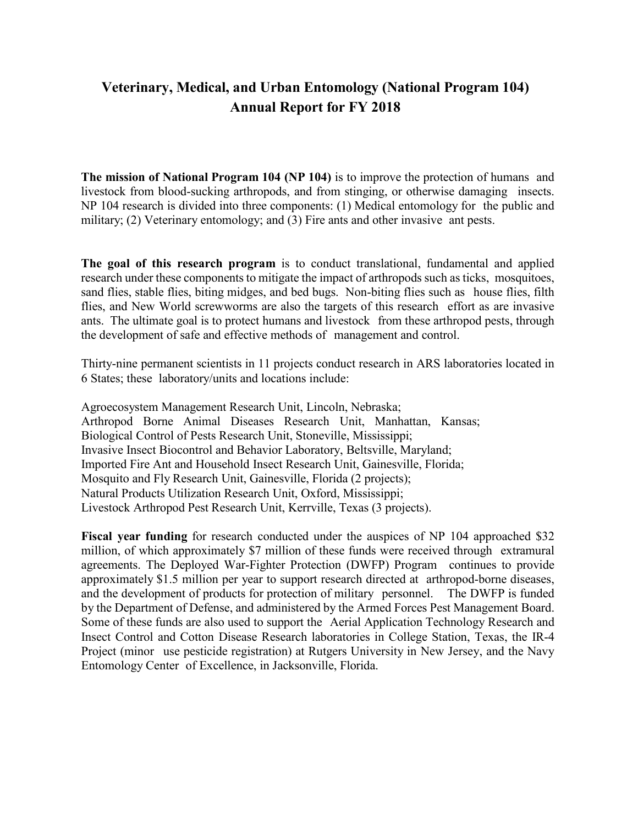# **Veterinary, Medical, and Urban Entomology (National Program 104) Annual Report for FY 2018**

**The mission of National Program 104 (NP 104)** is to improve the protection of humans and livestock from blood-sucking arthropods, and from stinging, or otherwise damaging insects. NP 104 research is divided into three components: (1) Medical entomology for the public and military; (2) Veterinary entomology; and (3) Fire ants and other invasive ant pests.

**The goal of this research program** is to conduct translational, fundamental and applied research under these components to mitigate the impact of arthropods such as ticks, mosquitoes, sand flies, stable flies, biting midges, and bed bugs. Non-biting flies such as house flies, filth flies, and New World screwworms are also the targets of this research effort as are invasive ants. The ultimate goal is to protect humans and livestock from these arthropod pests, through the development of safe and effective methods of management and control.

Thirty-nine permanent scientists in 11 projects conduct research in ARS laboratories located in 6 States; these laboratory/units and locations include:

Agroecosystem Management Research Unit, Lincoln, Nebraska; Arthropod Borne Animal Diseases Research Unit, Manhattan, Kansas; Biological Control of Pests Research Unit, Stoneville, Mississippi; Invasive Insect Biocontrol and Behavior Laboratory, Beltsville, Maryland; Imported Fire Ant and Household Insect Research Unit, Gainesville, Florida; Mosquito and Fly Research Unit, Gainesville, Florida (2 projects); Natural Products Utilization Research Unit, Oxford, Mississippi; Livestock Arthropod Pest Research Unit, Kerrville, Texas (3 projects).

**Fiscal year funding** for research conducted under the auspices of NP 104 approached \$32 million, of which approximately \$7 million of these funds were received through extramural agreements. The Deployed War-Fighter Protection (DWFP) Program continues to provide approximately \$1.5 million per year to support research directed at arthropod-borne diseases, and the development of products for protection of military personnel. The DWFP is funded by the Department of Defense, and administered by the Armed Forces Pest Management Board. Some of these funds are also used to support the Aerial Application Technology Research and Insect Control and Cotton Disease Research laboratories in College Station, Texas, the IR-4 Project (minor use pesticide registration) at Rutgers University in New Jersey, and the Navy Entomology Center of Excellence, in Jacksonville, Florida.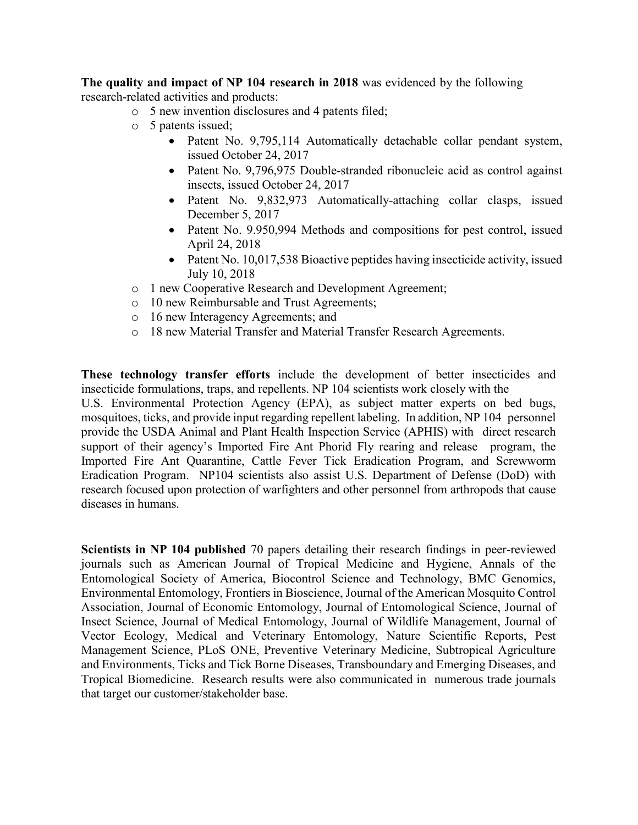**The quality and impact of NP 104 research in 2018** was evidenced by the following research-related activities and products:

- o 5 new invention disclosures and 4 patents filed;
- o 5 patents issued;
	- Patent No. 9,795,114 Automatically detachable collar pendant system, issued October 24, 2017
	- Patent No. 9,796,975 Double-stranded ribonucleic acid as control against insects, issued October 24, 2017
	- Patent No. 9,832,973 Automatically-attaching collar clasps, issued December 5, 2017
	- Patent No. 9.950,994 Methods and compositions for pest control, issued April 24, 2018
	- Patent No. 10,017,538 Bioactive peptides having insecticide activity, issued July 10, 2018
- o 1 new Cooperative Research and Development Agreement;
- o 10 new Reimbursable and Trust Agreements;
- o 16 new Interagency Agreements; and
- o 18 new Material Transfer and Material Transfer Research Agreements.

**These technology transfer efforts** include the development of better insecticides and insecticide formulations, traps, and repellents. NP 104 scientists work closely with the

U.S. Environmental Protection Agency (EPA), as subject matter experts on bed bugs, mosquitoes, ticks, and provide input regarding repellent labeling. In addition, NP 104 personnel provide the USDA Animal and Plant Health Inspection Service (APHIS) with direct research support of their agency's Imported Fire Ant Phorid Fly rearing and release program, the Imported Fire Ant Quarantine, Cattle Fever Tick Eradication Program, and Screwworm Eradication Program. NP104 scientists also assist U.S. Department of Defense (DoD) with research focused upon protection of warfighters and other personnel from arthropods that cause diseases in humans.

**Scientists in NP 104 published** 70 papers detailing their research findings in peer-reviewed journals such as American Journal of Tropical Medicine and Hygiene, Annals of the Entomological Society of America, Biocontrol Science and Technology, BMC Genomics, Environmental Entomology, Frontiers in Bioscience, Journal of the American Mosquito Control Association, Journal of Economic Entomology, Journal of Entomological Science, Journal of Insect Science, Journal of Medical Entomology, Journal of Wildlife Management, Journal of Vector Ecology, Medical and Veterinary Entomology, Nature Scientific Reports, Pest Management Science, PLoS ONE, Preventive Veterinary Medicine, Subtropical Agriculture and Environments, Ticks and Tick Borne Diseases, Transboundary and Emerging Diseases, and Tropical Biomedicine. Research results were also communicated in numerous trade journals that target our customer/stakeholder base.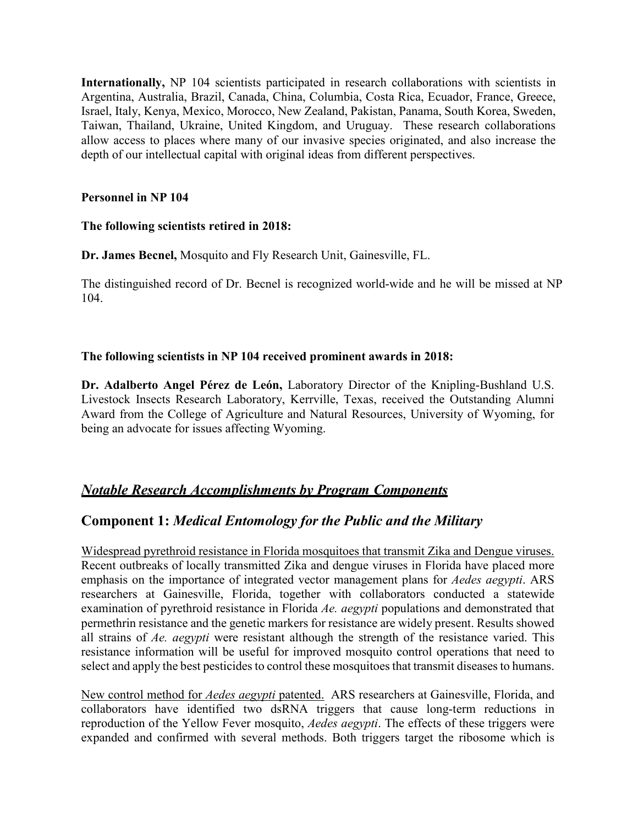**Internationally,** NP 104 scientists participated in research collaborations with scientists in Argentina, Australia, Brazil, Canada, China, Columbia, Costa Rica, Ecuador, France, Greece, Israel, Italy, Kenya, Mexico, Morocco, New Zealand, Pakistan, Panama, South Korea, Sweden, Taiwan, Thailand, Ukraine, United Kingdom, and Uruguay. These research collaborations allow access to places where many of our invasive species originated, and also increase the depth of our intellectual capital with original ideas from different perspectives.

#### **Personnel in NP 104**

### **The following scientists retired in 2018:**

**Dr. James Becnel,** Mosquito and Fly Research Unit, Gainesville, FL.

The distinguished record of Dr. Becnel is recognized world-wide and he will be missed at NP 104.

### **The following scientists in NP 104 received prominent awards in 2018:**

**Dr. Adalberto Angel Pérez de León,** Laboratory Director of the Knipling-Bushland U.S. Livestock Insects Research Laboratory, Kerrville, Texas, received the Outstanding Alumni Award from the College of Agriculture and Natural Resources, University of Wyoming, for being an advocate for issues affecting Wyoming.

### *Notable Research Accomplishments by Program Components*

# **Component 1:** *Medical Entomology for the Public and the Military*

Widespread pyrethroid resistance in Florida mosquitoes that transmit Zika and Dengue viruses. Recent outbreaks of locally transmitted Zika and dengue viruses in Florida have placed more emphasis on the importance of integrated vector management plans for *Aedes aegypti*. ARS researchers at Gainesville, Florida, together with collaborators conducted a statewide examination of pyrethroid resistance in Florida *Ae. aegypti* populations and demonstrated that permethrin resistance and the genetic markers for resistance are widely present. Results showed all strains of *Ae. aegypti* were resistant although the strength of the resistance varied. This resistance information will be useful for improved mosquito control operations that need to select and apply the best pesticides to control these mosquitoes that transmit diseases to humans.

New control method for *Aedes aegypti* patented. ARS researchers at Gainesville, Florida, and collaborators have identified two dsRNA triggers that cause long-term reductions in reproduction of the Yellow Fever mosquito, *Aedes aegypti*. The effects of these triggers were expanded and confirmed with several methods. Both triggers target the ribosome which is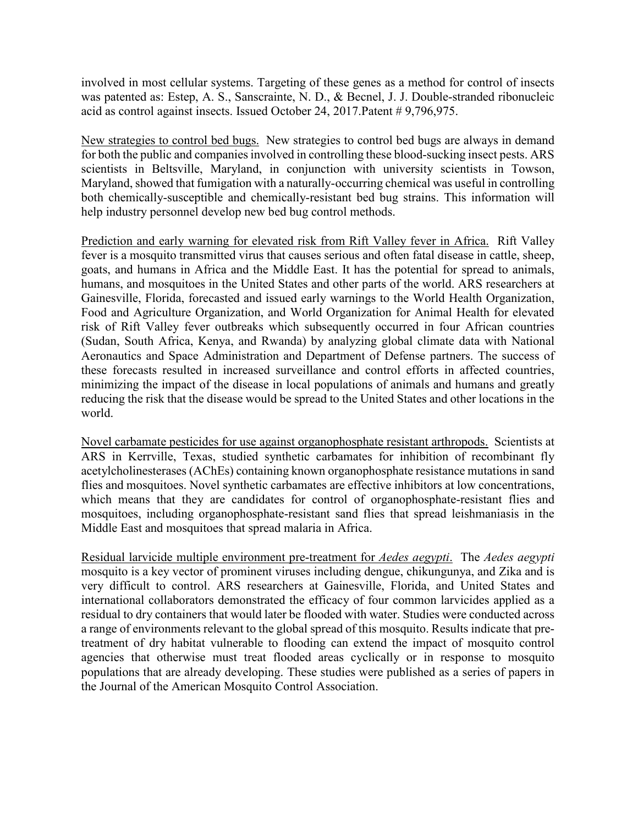involved in most cellular systems. Targeting of these genes as a method for control of insects was patented as: Estep, A. S., Sanscrainte, N. D., & Becnel, J. J. Double-stranded ribonucleic acid as control against insects. Issued October 24, 2017.Patent # 9,796,975.

New strategies to control bed bugs. New strategies to control bed bugs are always in demand for both the public and companies involved in controlling these blood-sucking insect pests. ARS scientists in Beltsville, Maryland, in conjunction with university scientists in Towson, Maryland, showed that fumigation with a naturally-occurring chemical was useful in controlling both chemically-susceptible and chemically-resistant bed bug strains. This information will help industry personnel develop new bed bug control methods.

Prediction and early warning for elevated risk from Rift Valley fever in Africa. Rift Valley fever is a mosquito transmitted virus that causes serious and often fatal disease in cattle, sheep, goats, and humans in Africa and the Middle East. It has the potential for spread to animals, humans, and mosquitoes in the United States and other parts of the world. ARS researchers at Gainesville, Florida, forecasted and issued early warnings to the World Health Organization, Food and Agriculture Organization, and World Organization for Animal Health for elevated risk of Rift Valley fever outbreaks which subsequently occurred in four African countries (Sudan, South Africa, Kenya, and Rwanda) by analyzing global climate data with National Aeronautics and Space Administration and Department of Defense partners. The success of these forecasts resulted in increased surveillance and control efforts in affected countries, minimizing the impact of the disease in local populations of animals and humans and greatly reducing the risk that the disease would be spread to the United States and other locations in the world.

Novel carbamate pesticides for use against organophosphate resistant arthropods. Scientists at ARS in Kerrville, Texas, studied synthetic carbamates for inhibition of recombinant fly acetylcholinesterases (AChEs) containing known organophosphate resistance mutations in sand flies and mosquitoes. Novel synthetic carbamates are effective inhibitors at low concentrations, which means that they are candidates for control of organophosphate-resistant flies and mosquitoes, including organophosphate-resistant sand flies that spread leishmaniasis in the Middle East and mosquitoes that spread malaria in Africa.

Residual larvicide multiple environment pre-treatment for *Aedes aegypti*. The *Aedes aegypti* mosquito is a key vector of prominent viruses including dengue, chikungunya, and Zika and is very difficult to control. ARS researchers at Gainesville, Florida, and United States and international collaborators demonstrated the efficacy of four common larvicides applied as a residual to dry containers that would later be flooded with water. Studies were conducted across a range of environments relevant to the global spread of this mosquito. Results indicate that pretreatment of dry habitat vulnerable to flooding can extend the impact of mosquito control agencies that otherwise must treat flooded areas cyclically or in response to mosquito populations that are already developing. These studies were published as a series of papers in the Journal of the American Mosquito Control Association.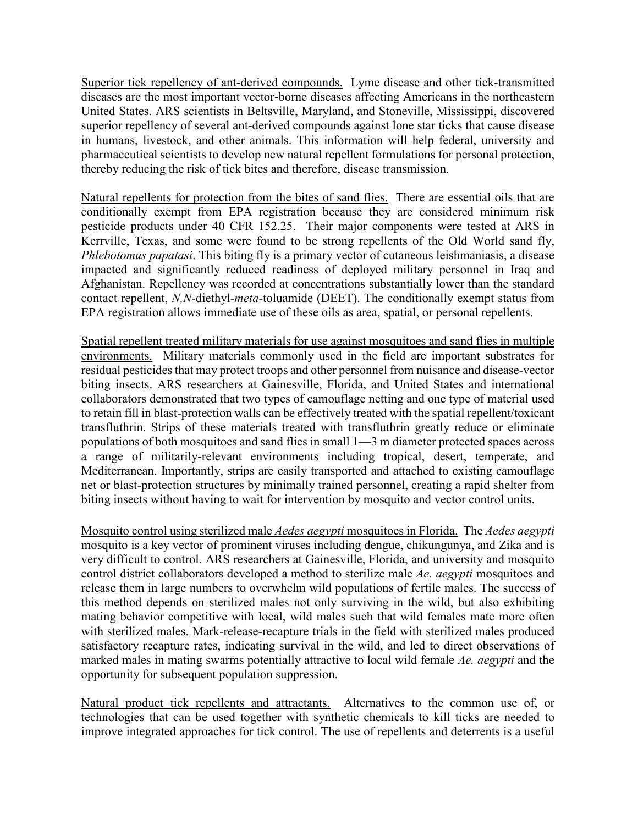Superior tick repellency of ant-derived compounds. Lyme disease and other tick-transmitted diseases are the most important vector-borne diseases affecting Americans in the northeastern United States. ARS scientists in Beltsville, Maryland, and Stoneville, Mississippi, discovered superior repellency of several ant-derived compounds against lone star ticks that cause disease in humans, livestock, and other animals. This information will help federal, university and pharmaceutical scientists to develop new natural repellent formulations for personal protection, thereby reducing the risk of tick bites and therefore, disease transmission.

Natural repellents for protection from the bites of sand flies. There are essential oils that are conditionally exempt from EPA registration because they are considered minimum risk pesticide products under 40 CFR 152.25. Their major components were tested at ARS in Kerrville, Texas, and some were found to be strong repellents of the Old World sand fly, *Phlebotomus papatasi*. This biting fly is a primary vector of cutaneous leishmaniasis, a disease impacted and significantly reduced readiness of deployed military personnel in Iraq and Afghanistan. Repellency was recorded at concentrations substantially lower than the standard contact repellent, *N,N*-diethyl-*meta*-toluamide (DEET). The conditionally exempt status from EPA registration allows immediate use of these oils as area, spatial, or personal repellents.

Spatial repellent treated military materials for use against mosquitoes and sand flies in multiple environments. Military materials commonly used in the field are important substrates for residual pesticides that may protect troops and other personnel from nuisance and disease-vector biting insects. ARS researchers at Gainesville, Florida, and United States and international collaborators demonstrated that two types of camouflage netting and one type of material used to retain fill in blast-protection walls can be effectively treated with the spatial repellent/toxicant transfluthrin. Strips of these materials treated with transfluthrin greatly reduce or eliminate populations of both mosquitoes and sand flies in small 1—3 m diameter protected spaces across a range of militarily-relevant environments including tropical, desert, temperate, and Mediterranean. Importantly, strips are easily transported and attached to existing camouflage net or blast-protection structures by minimally trained personnel, creating a rapid shelter from biting insects without having to wait for intervention by mosquito and vector control units.

Mosquito control using sterilized male *Aedes aegypti* mosquitoes in Florida. The *Aedes aegypti* mosquito is a key vector of prominent viruses including dengue, chikungunya, and Zika and is very difficult to control. ARS researchers at Gainesville, Florida, and university and mosquito control district collaborators developed a method to sterilize male *Ae. aegypti* mosquitoes and release them in large numbers to overwhelm wild populations of fertile males. The success of this method depends on sterilized males not only surviving in the wild, but also exhibiting mating behavior competitive with local, wild males such that wild females mate more often with sterilized males. Mark-release-recapture trials in the field with sterilized males produced satisfactory recapture rates, indicating survival in the wild, and led to direct observations of marked males in mating swarms potentially attractive to local wild female *Ae. aegypti* and the opportunity for subsequent population suppression.

Natural product tick repellents and attractants. Alternatives to the common use of, or technologies that can be used together with synthetic chemicals to kill ticks are needed to improve integrated approaches for tick control. The use of repellents and deterrents is a useful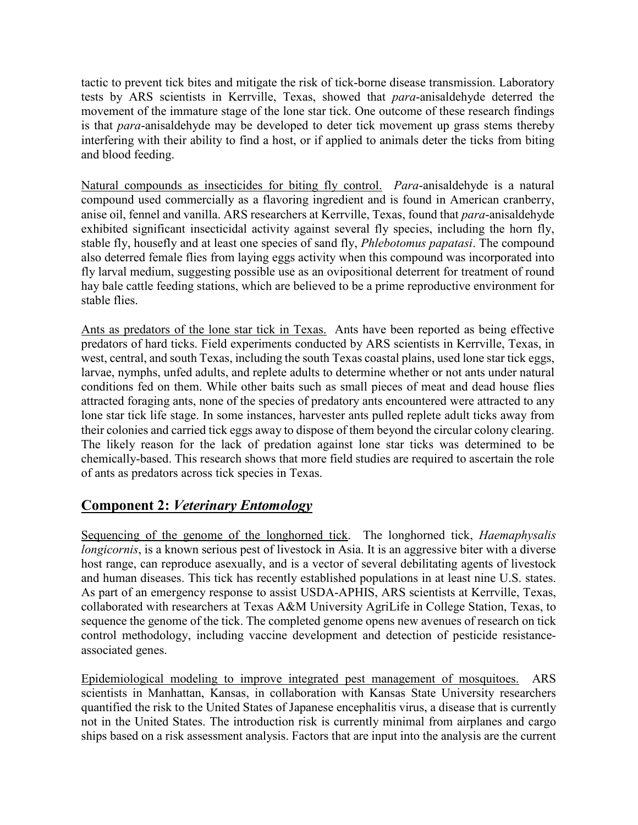tactic to prevent tick bites and mitigate the risk of tick-borne disease transmission. Laboratory tests by ARS scientists in Kerrville, Texas, showed that *para*-anisaldehyde deterred the movement of the immature stage of the lone star tick. One outcome of these research findings is that *para*-anisaldehyde may be developed to deter tick movement up grass stems thereby interfering with their ability to find a host, or if applied to animals deter the ticks from biting and blood feeding.

Natural compounds as insecticides for biting fly control. *Para*-anisaldehyde is a natural compound used commercially as a flavoring ingredient and is found in American cranberry, anise oil, fennel and vanilla. ARS researchers at Kerrville, Texas, found that *para*-anisaldehyde exhibited significant insecticidal activity against several fly species, including the horn fly, stable fly, housefly and at least one species of sand fly, *Phlebotomus papatasi*. The compound also deterred female flies from laying eggs activity when this compound was incorporated into fly larval medium, suggesting possible use as an ovipositional deterrent for treatment of round hay bale cattle feeding stations, which are believed to be a prime reproductive environment for stable flies.

Ants as predators of the lone star tick in Texas. Ants have been reported as being effective predators of hard ticks. Field experiments conducted by ARS scientists in Kerrville, Texas, in west, central, and south Texas, including the south Texas coastal plains, used lone star tick eggs, larvae, nymphs, unfed adults, and replete adults to determine whether or not ants under natural conditions fed on them. While other baits such as small pieces of meat and dead house flies attracted foraging ants, none of the species of predatory ants encountered were attracted to any lone star tick life stage. In some instances, harvester ants pulled replete adult ticks away from their colonies and carried tick eggs away to dispose of them beyond the circular colony clearing. The likely reason for the lack of predation against lone star ticks was determined to be chemically-based. This research shows that more field studies are required to ascertain the role of ants as predators across tick species in Texas.

# **Component 2:** *Veterinary Entomology*

Sequencing of the genome of the longhorned tick. The longhorned tick, *Haemaphysalis longicornis*, is a known serious pest of livestock in Asia. It is an aggressive biter with a diverse host range, can reproduce asexually, and is a vector of several debilitating agents of livestock and human diseases. This tick has recently established populations in at least nine U.S. states. As part of an emergency response to assist USDA-APHIS, ARS scientists at Kerrville, Texas, collaborated with researchers at Texas A&M University AgriLife in College Station, Texas, to sequence the genome of the tick. The completed genome opens new avenues of research on tick control methodology, including vaccine development and detection of pesticide resistanceassociated genes.

Epidemiological modeling to improve integrated pest management of mosquitoes. ARS scientists in Manhattan, Kansas, in collaboration with Kansas State University researchers quantified the risk to the United States of Japanese encephalitis virus, a disease that is currently not in the United States. The introduction risk is currently minimal from airplanes and cargo ships based on a risk assessment analysis. Factors that are input into the analysis are the current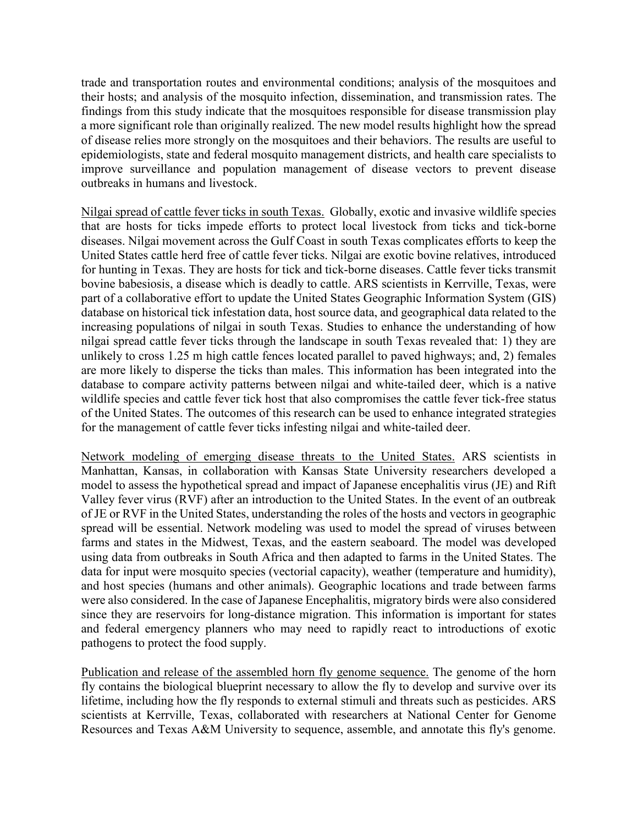trade and transportation routes and environmental conditions; analysis of the mosquitoes and their hosts; and analysis of the mosquito infection, dissemination, and transmission rates. The findings from this study indicate that the mosquitoes responsible for disease transmission play a more significant role than originally realized. The new model results highlight how the spread of disease relies more strongly on the mosquitoes and their behaviors. The results are useful to epidemiologists, state and federal mosquito management districts, and health care specialists to improve surveillance and population management of disease vectors to prevent disease outbreaks in humans and livestock.

Nilgai spread of cattle fever ticks in south Texas. Globally, exotic and invasive wildlife species that are hosts for ticks impede efforts to protect local livestock from ticks and tick-borne diseases. Nilgai movement across the Gulf Coast in south Texas complicates efforts to keep the United States cattle herd free of cattle fever ticks. Nilgai are exotic bovine relatives, introduced for hunting in Texas. They are hosts for tick and tick-borne diseases. Cattle fever ticks transmit bovine babesiosis, a disease which is deadly to cattle. ARS scientists in Kerrville, Texas, were part of a collaborative effort to update the United States Geographic Information System (GIS) database on historical tick infestation data, host source data, and geographical data related to the increasing populations of nilgai in south Texas. Studies to enhance the understanding of how nilgai spread cattle fever ticks through the landscape in south Texas revealed that: 1) they are unlikely to cross 1.25 m high cattle fences located parallel to paved highways; and, 2) females are more likely to disperse the ticks than males. This information has been integrated into the database to compare activity patterns between nilgai and white-tailed deer, which is a native wildlife species and cattle fever tick host that also compromises the cattle fever tick-free status of the United States. The outcomes of this research can be used to enhance integrated strategies for the management of cattle fever ticks infesting nilgai and white-tailed deer.

Network modeling of emerging disease threats to the United States. ARS scientists in Manhattan, Kansas, in collaboration with Kansas State University researchers developed a model to assess the hypothetical spread and impact of Japanese encephalitis virus (JE) and Rift Valley fever virus (RVF) after an introduction to the United States. In the event of an outbreak of JE or RVF in the United States, understanding the roles of the hosts and vectors in geographic spread will be essential. Network modeling was used to model the spread of viruses between farms and states in the Midwest, Texas, and the eastern seaboard. The model was developed using data from outbreaks in South Africa and then adapted to farms in the United States. The data for input were mosquito species (vectorial capacity), weather (temperature and humidity), and host species (humans and other animals). Geographic locations and trade between farms were also considered. In the case of Japanese Encephalitis, migratory birds were also considered since they are reservoirs for long-distance migration. This information is important for states and federal emergency planners who may need to rapidly react to introductions of exotic pathogens to protect the food supply.

Publication and release of the assembled horn fly genome sequence. The genome of the horn fly contains the biological blueprint necessary to allow the fly to develop and survive over its lifetime, including how the fly responds to external stimuli and threats such as pesticides. ARS scientists at Kerrville, Texas, collaborated with researchers at National Center for Genome Resources and Texas A&M University to sequence, assemble, and annotate this fly's genome.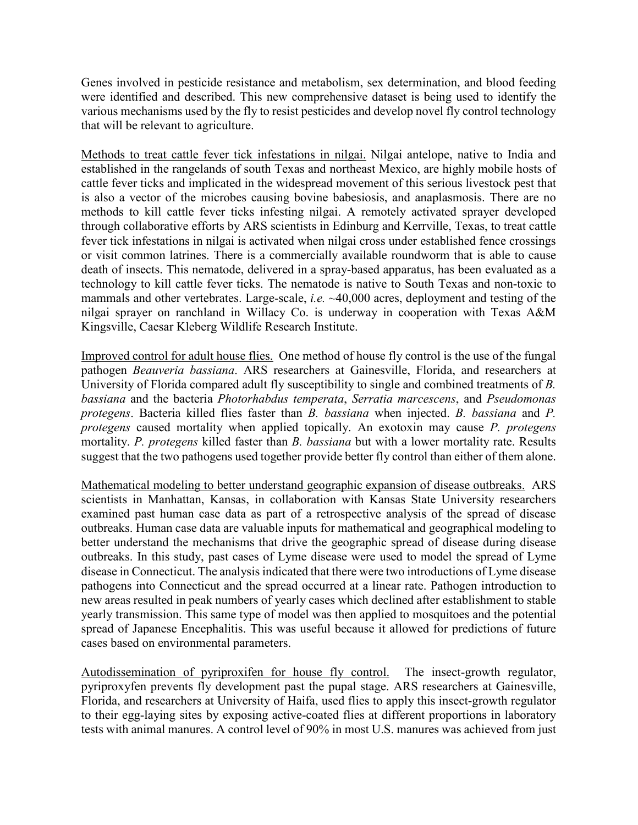Genes involved in pesticide resistance and metabolism, sex determination, and blood feeding were identified and described. This new comprehensive dataset is being used to identify the various mechanisms used by the fly to resist pesticides and develop novel fly control technology that will be relevant to agriculture.

Methods to treat cattle fever tick infestations in nilgai. Nilgai antelope, native to India and established in the rangelands of south Texas and northeast Mexico, are highly mobile hosts of cattle fever ticks and implicated in the widespread movement of this serious livestock pest that is also a vector of the microbes causing bovine babesiosis, and anaplasmosis. There are no methods to kill cattle fever ticks infesting nilgai. A remotely activated sprayer developed through collaborative efforts by ARS scientists in Edinburg and Kerrville, Texas, to treat cattle fever tick infestations in nilgai is activated when nilgai cross under established fence crossings or visit common latrines. There is a commercially available roundworm that is able to cause death of insects. This nematode, delivered in a spray-based apparatus, has been evaluated as a technology to kill cattle fever ticks. The nematode is native to South Texas and non-toxic to mammals and other vertebrates. Large-scale, *i.e.* ~40,000 acres, deployment and testing of the nilgai sprayer on ranchland in Willacy Co. is underway in cooperation with Texas A&M Kingsville, Caesar Kleberg Wildlife Research Institute.

Improved control for adult house flies. One method of house fly control is the use of the fungal pathogen *Beauveria bassiana*. ARS researchers at Gainesville, Florida, and researchers at University of Florida compared adult fly susceptibility to single and combined treatments of *B. bassiana* and the bacteria *Photorhabdus temperata*, *Serratia marcescens*, and *Pseudomonas protegens*. Bacteria killed flies faster than *B. bassiana* when injected. *B. bassiana* and *P. protegens* caused mortality when applied topically. An exotoxin may cause *P. protegens* mortality. *P. protegens* killed faster than *B. bassiana* but with a lower mortality rate. Results suggest that the two pathogens used together provide better fly control than either of them alone.

Mathematical modeling to better understand geographic expansion of disease outbreaks. ARS scientists in Manhattan, Kansas, in collaboration with Kansas State University researchers examined past human case data as part of a retrospective analysis of the spread of disease outbreaks. Human case data are valuable inputs for mathematical and geographical modeling to better understand the mechanisms that drive the geographic spread of disease during disease outbreaks. In this study, past cases of Lyme disease were used to model the spread of Lyme disease in Connecticut. The analysis indicated that there were two introductions of Lyme disease pathogens into Connecticut and the spread occurred at a linear rate. Pathogen introduction to new areas resulted in peak numbers of yearly cases which declined after establishment to stable yearly transmission. This same type of model was then applied to mosquitoes and the potential spread of Japanese Encephalitis. This was useful because it allowed for predictions of future cases based on environmental parameters.

Autodissemination of pyriproxifen for house fly control. The insect-growth regulator, pyriproxyfen prevents fly development past the pupal stage. ARS researchers at Gainesville, Florida, and researchers at University of Haifa, used flies to apply this insect-growth regulator to their egg-laying sites by exposing active-coated flies at different proportions in laboratory tests with animal manures. A control level of 90% in most U.S. manures was achieved from just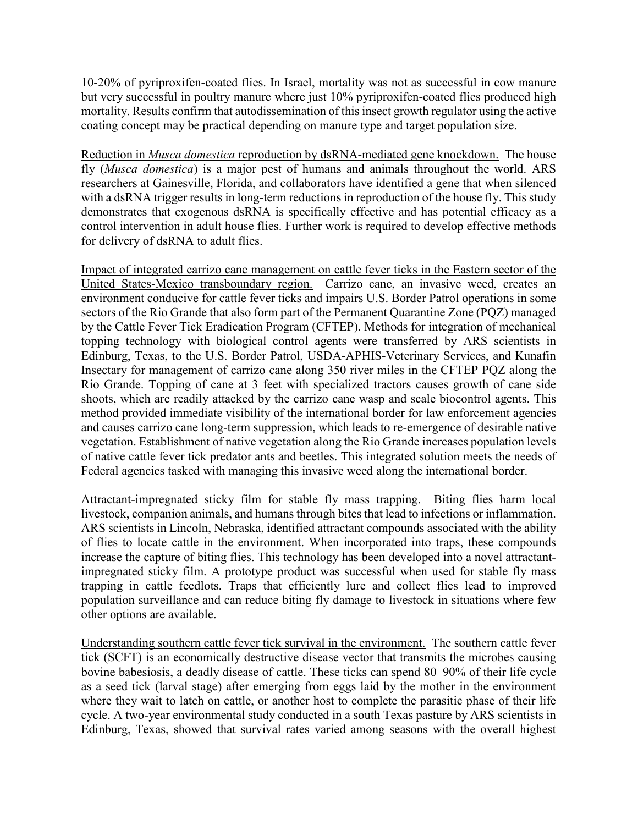10-20% of pyriproxifen-coated flies. In Israel, mortality was not as successful in cow manure but very successful in poultry manure where just 10% pyriproxifen-coated flies produced high mortality. Results confirm that autodissemination of this insect growth regulator using the active coating concept may be practical depending on manure type and target population size.

Reduction in *Musca domestica* reproduction by dsRNA-mediated gene knockdown. The house fly (*Musca domestica*) is a major pest of humans and animals throughout the world. ARS researchers at Gainesville, Florida, and collaborators have identified a gene that when silenced with a dsRNA trigger results in long-term reductions in reproduction of the house fly. This study demonstrates that exogenous dsRNA is specifically effective and has potential efficacy as a control intervention in adult house flies. Further work is required to develop effective methods for delivery of dsRNA to adult flies.

Impact of integrated carrizo cane management on cattle fever ticks in the Eastern sector of the United States-Mexico transboundary region. Carrizo cane, an invasive weed, creates an environment conducive for cattle fever ticks and impairs U.S. Border Patrol operations in some sectors of the Rio Grande that also form part of the Permanent Quarantine Zone (PQZ) managed by the Cattle Fever Tick Eradication Program (CFTEP). Methods for integration of mechanical topping technology with biological control agents were transferred by ARS scientists in Edinburg, Texas, to the U.S. Border Patrol, USDA-APHIS-Veterinary Services, and Kunafin Insectary for management of carrizo cane along 350 river miles in the CFTEP PQZ along the Rio Grande. Topping of cane at 3 feet with specialized tractors causes growth of cane side shoots, which are readily attacked by the carrizo cane wasp and scale biocontrol agents. This method provided immediate visibility of the international border for law enforcement agencies and causes carrizo cane long-term suppression, which leads to re-emergence of desirable native vegetation. Establishment of native vegetation along the Rio Grande increases population levels of native cattle fever tick predator ants and beetles. This integrated solution meets the needs of Federal agencies tasked with managing this invasive weed along the international border.

Attractant-impregnated sticky film for stable fly mass trapping. Biting flies harm local livestock, companion animals, and humans through bites that lead to infections or inflammation. ARS scientists in Lincoln, Nebraska, identified attractant compounds associated with the ability of flies to locate cattle in the environment. When incorporated into traps, these compounds increase the capture of biting flies. This technology has been developed into a novel attractantimpregnated sticky film. A prototype product was successful when used for stable fly mass trapping in cattle feedlots. Traps that efficiently lure and collect flies lead to improved population surveillance and can reduce biting fly damage to livestock in situations where few other options are available.

Understanding southern cattle fever tick survival in the environment. The southern cattle fever tick (SCFT) is an economically destructive disease vector that transmits the microbes causing bovine babesiosis, a deadly disease of cattle. These ticks can spend 80–90% of their life cycle as a seed tick (larval stage) after emerging from eggs laid by the mother in the environment where they wait to latch on cattle, or another host to complete the parasitic phase of their life cycle. A two-year environmental study conducted in a south Texas pasture by ARS scientists in Edinburg, Texas, showed that survival rates varied among seasons with the overall highest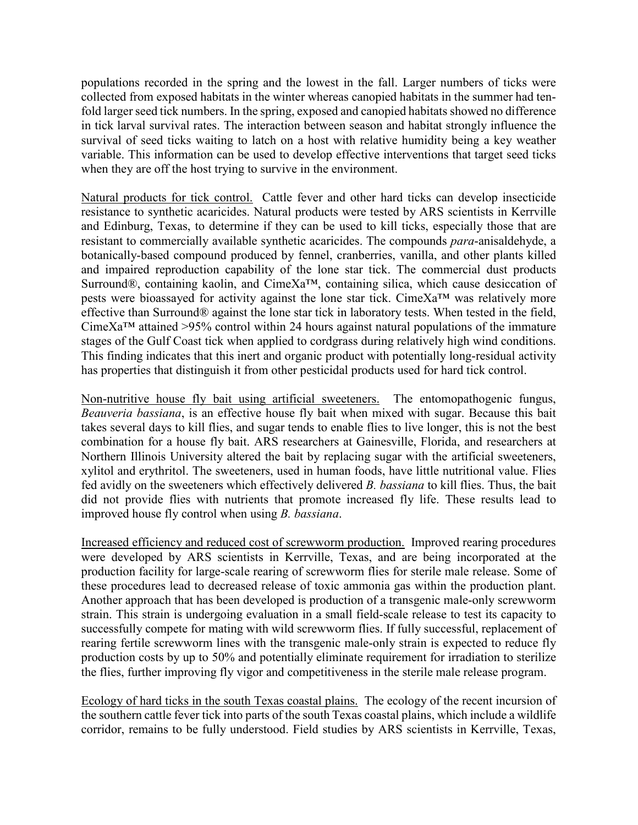populations recorded in the spring and the lowest in the fall. Larger numbers of ticks were collected from exposed habitats in the winter whereas canopied habitats in the summer had tenfold larger seed tick numbers. In the spring, exposed and canopied habitats showed no difference in tick larval survival rates. The interaction between season and habitat strongly influence the survival of seed ticks waiting to latch on a host with relative humidity being a key weather variable. This information can be used to develop effective interventions that target seed ticks when they are off the host trying to survive in the environment.

Natural products for tick control. Cattle fever and other hard ticks can develop insecticide resistance to synthetic acaricides. Natural products were tested by ARS scientists in Kerrville and Edinburg, Texas, to determine if they can be used to kill ticks, especially those that are resistant to commercially available synthetic acaricides. The compounds *para*-anisaldehyde, a botanically-based compound produced by fennel, cranberries, vanilla, and other plants killed and impaired reproduction capability of the lone star tick. The commercial dust products Surround®, containing kaolin, and CimeXa™, containing silica, which cause desiccation of pests were bioassayed for activity against the lone star tick. CimeXa™ was relatively more effective than Surround® against the lone star tick in laboratory tests. When tested in the field, CimeXa<sup>TM</sup> attained >95% control within 24 hours against natural populations of the immature stages of the Gulf Coast tick when applied to cordgrass during relatively high wind conditions. This finding indicates that this inert and organic product with potentially long-residual activity has properties that distinguish it from other pesticidal products used for hard tick control.

Non-nutritive house fly bait using artificial sweeteners. The entomopathogenic fungus, *Beauveria bassiana*, is an effective house fly bait when mixed with sugar. Because this bait takes several days to kill flies, and sugar tends to enable flies to live longer, this is not the best combination for a house fly bait. ARS researchers at Gainesville, Florida, and researchers at Northern Illinois University altered the bait by replacing sugar with the artificial sweeteners, xylitol and erythritol. The sweeteners, used in human foods, have little nutritional value. Flies fed avidly on the sweeteners which effectively delivered *B. bassiana* to kill flies. Thus, the bait did not provide flies with nutrients that promote increased fly life. These results lead to improved house fly control when using *B. bassiana*.

Increased efficiency and reduced cost of screwworm production. Improved rearing procedures were developed by ARS scientists in Kerrville, Texas, and are being incorporated at the production facility for large-scale rearing of screwworm flies for sterile male release. Some of these procedures lead to decreased release of toxic ammonia gas within the production plant. Another approach that has been developed is production of a transgenic male-only screwworm strain. This strain is undergoing evaluation in a small field-scale release to test its capacity to successfully compete for mating with wild screwworm flies. If fully successful, replacement of rearing fertile screwworm lines with the transgenic male-only strain is expected to reduce fly production costs by up to 50% and potentially eliminate requirement for irradiation to sterilize the flies, further improving fly vigor and competitiveness in the sterile male release program.

Ecology of hard ticks in the south Texas coastal plains. The ecology of the recent incursion of the southern cattle fever tick into parts of the south Texas coastal plains, which include a wildlife corridor, remains to be fully understood. Field studies by ARS scientists in Kerrville, Texas,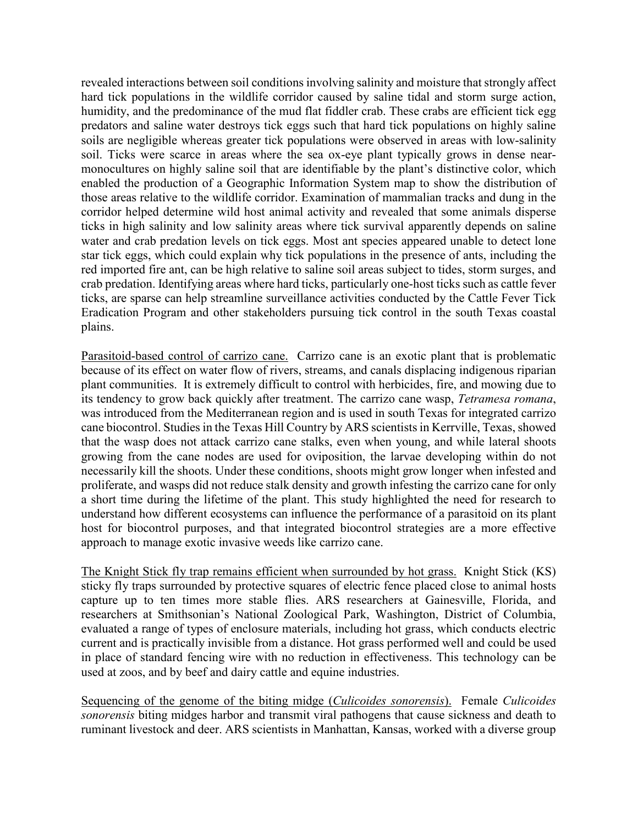revealed interactions between soil conditions involving salinity and moisture that strongly affect hard tick populations in the wildlife corridor caused by saline tidal and storm surge action, humidity, and the predominance of the mud flat fiddler crab. These crabs are efficient tick egg predators and saline water destroys tick eggs such that hard tick populations on highly saline soils are negligible whereas greater tick populations were observed in areas with low-salinity soil. Ticks were scarce in areas where the sea ox-eye plant typically grows in dense nearmonocultures on highly saline soil that are identifiable by the plant's distinctive color, which enabled the production of a Geographic Information System map to show the distribution of those areas relative to the wildlife corridor. Examination of mammalian tracks and dung in the corridor helped determine wild host animal activity and revealed that some animals disperse ticks in high salinity and low salinity areas where tick survival apparently depends on saline water and crab predation levels on tick eggs. Most ant species appeared unable to detect lone star tick eggs, which could explain why tick populations in the presence of ants, including the red imported fire ant, can be high relative to saline soil areas subject to tides, storm surges, and crab predation. Identifying areas where hard ticks, particularly one-host ticks such as cattle fever ticks, are sparse can help streamline surveillance activities conducted by the Cattle Fever Tick Eradication Program and other stakeholders pursuing tick control in the south Texas coastal plains.

Parasitoid-based control of carrizo cane. Carrizo cane is an exotic plant that is problematic because of its effect on water flow of rivers, streams, and canals displacing indigenous riparian plant communities. It is extremely difficult to control with herbicides, fire, and mowing due to its tendency to grow back quickly after treatment. The carrizo cane wasp, *Tetramesa romana*, was introduced from the Mediterranean region and is used in south Texas for integrated carrizo cane biocontrol. Studies in the Texas Hill Country by ARS scientists in Kerrville, Texas, showed that the wasp does not attack carrizo cane stalks, even when young, and while lateral shoots growing from the cane nodes are used for oviposition, the larvae developing within do not necessarily kill the shoots. Under these conditions, shoots might grow longer when infested and proliferate, and wasps did not reduce stalk density and growth infesting the carrizo cane for only a short time during the lifetime of the plant. This study highlighted the need for research to understand how different ecosystems can influence the performance of a parasitoid on its plant host for biocontrol purposes, and that integrated biocontrol strategies are a more effective approach to manage exotic invasive weeds like carrizo cane.

The Knight Stick fly trap remains efficient when surrounded by hot grass. Knight Stick (KS) sticky fly traps surrounded by protective squares of electric fence placed close to animal hosts capture up to ten times more stable flies. ARS researchers at Gainesville, Florida, and researchers at Smithsonian's National Zoological Park, Washington, District of Columbia, evaluated a range of types of enclosure materials, including hot grass, which conducts electric current and is practically invisible from a distance. Hot grass performed well and could be used in place of standard fencing wire with no reduction in effectiveness. This technology can be used at zoos, and by beef and dairy cattle and equine industries.

Sequencing of the genome of the biting midge (*Culicoides sonorensis*). Female *Culicoides sonorensis* biting midges harbor and transmit viral pathogens that cause sickness and death to ruminant livestock and deer. ARS scientists in Manhattan, Kansas, worked with a diverse group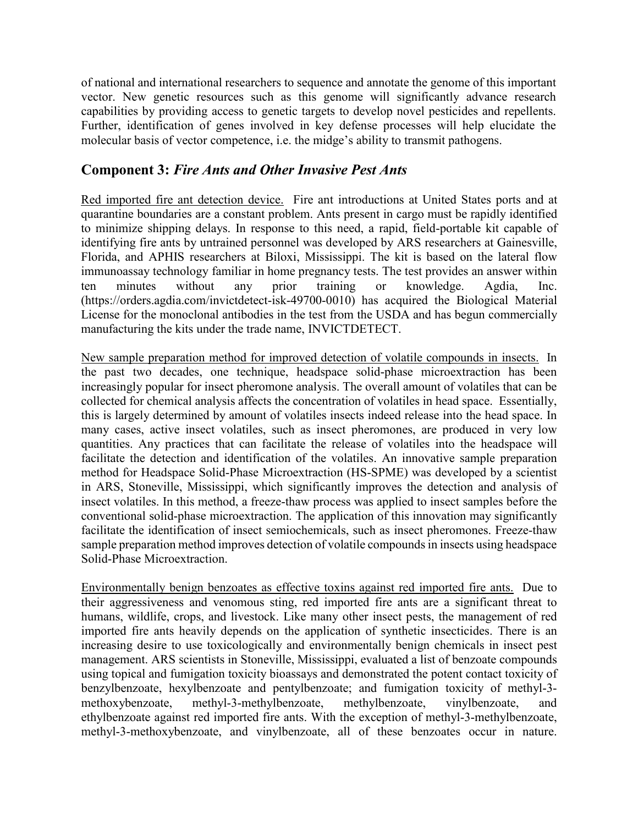of national and international researchers to sequence and annotate the genome of this important vector. New genetic resources such as this genome will significantly advance research capabilities by providing access to genetic targets to develop novel pesticides and repellents. Further, identification of genes involved in key defense processes will help elucidate the molecular basis of vector competence, i.e. the midge's ability to transmit pathogens.

### **Component 3:** *Fire Ants and Other Invasive Pest Ants*

Red imported fire ant detection device. Fire ant introductions at United States ports and at quarantine boundaries are a constant problem. Ants present in cargo must be rapidly identified to minimize shipping delays. In response to this need, a rapid, field-portable kit capable of identifying fire ants by untrained personnel was developed by ARS researchers at Gainesville, Florida, and APHIS researchers at Biloxi, Mississippi. The kit is based on the lateral flow immunoassay technology familiar in home pregnancy tests. The test provides an answer within ten minutes without any prior training or knowledge. Agdia, Inc. (https://orders.agdia.com/invictdetect-isk-49700-0010) has acquired the Biological Material License for the monoclonal antibodies in the test from the USDA and has begun commercially manufacturing the kits under the trade name, INVICTDETECT.

New sample preparation method for improved detection of volatile compounds in insects. In the past two decades, one technique, headspace solid-phase microextraction has been increasingly popular for insect pheromone analysis. The overall amount of volatiles that can be collected for chemical analysis affects the concentration of volatiles in head space. Essentially, this is largely determined by amount of volatiles insects indeed release into the head space. In many cases, active insect volatiles, such as insect pheromones, are produced in very low quantities. Any practices that can facilitate the release of volatiles into the headspace will facilitate the detection and identification of the volatiles. An innovative sample preparation method for Headspace Solid-Phase Microextraction (HS-SPME) was developed by a scientist in ARS, Stoneville, Mississippi, which significantly improves the detection and analysis of insect volatiles. In this method, a freeze-thaw process was applied to insect samples before the conventional solid-phase microextraction. The application of this innovation may significantly facilitate the identification of insect semiochemicals, such as insect pheromones. Freeze-thaw sample preparation method improves detection of volatile compounds in insects using headspace Solid-Phase Microextraction.

Environmentally benign benzoates as effective toxins against red imported fire ants. Due to their aggressiveness and venomous sting, red imported fire ants are a significant threat to humans, wildlife, crops, and livestock. Like many other insect pests, the management of red imported fire ants heavily depends on the application of synthetic insecticides. There is an increasing desire to use toxicologically and environmentally benign chemicals in insect pest management. ARS scientists in Stoneville, Mississippi, evaluated a list of benzoate compounds using topical and fumigation toxicity bioassays and demonstrated the potent contact toxicity of benzylbenzoate, hexylbenzoate and pentylbenzoate; and fumigation toxicity of methyl-3 methoxybenzoate, methyl-3-methylbenzoate, methylbenzoate, vinylbenzoate, and ethylbenzoate against red imported fire ants. With the exception of methyl-3-methylbenzoate, methyl-3-methoxybenzoate, and vinylbenzoate, all of these benzoates occur in nature.